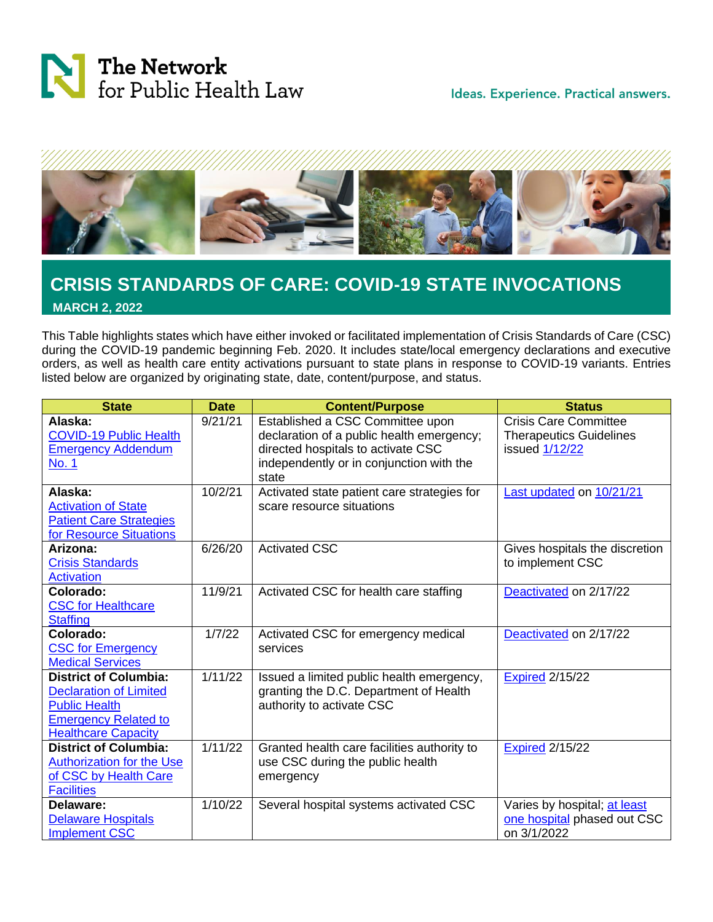



## **CRISIS STANDARDS OF CARE: COVID-19 STATE INVOCATIONS MARCH 2, 2022**

This Table highlights states which have either invoked or facilitated implementation of Crisis Standards of Care (CSC) during the COVID-19 pandemic beginning Feb. 2020. It includes state/local emergency declarations and executive orders, as well as health care entity activations pursuant to state plans in response to COVID-19 variants. Entries listed below are organized by originating state, date, content/purpose, and status.

| <b>State</b>                                                     | <b>Date</b>         | <b>Content/Purpose</b>                                                   | <b>Status</b>                  |
|------------------------------------------------------------------|---------------------|--------------------------------------------------------------------------|--------------------------------|
| Alaska:                                                          | 9/21/21             | Established a CSC Committee upon                                         | <b>Crisis Care Committee</b>   |
| <b>COVID-19 Public Health</b>                                    |                     | declaration of a public health emergency;                                | <b>Therapeutics Guidelines</b> |
| <b>Emergency Addendum</b>                                        |                     | directed hospitals to activate CSC                                       | issued 1/12/22                 |
| <b>No. 1</b>                                                     |                     | independently or in conjunction with the<br>state                        |                                |
| Alaska:                                                          | 10/2/21             |                                                                          |                                |
| <b>Activation of State</b>                                       |                     | Activated state patient care strategies for<br>scare resource situations | Last updated on 10/21/21       |
| <b>Patient Care Strategies</b>                                   |                     |                                                                          |                                |
| for Resource Situations                                          |                     |                                                                          |                                |
| Arizona:                                                         | 6/26/20             | <b>Activated CSC</b>                                                     | Gives hospitals the discretion |
| <b>Crisis Standards</b>                                          |                     |                                                                          | to implement CSC               |
| <b>Activation</b>                                                |                     |                                                                          |                                |
| Colorado:                                                        | 11/9/21             | Activated CSC for health care staffing                                   | Deactivated on 2/17/22         |
| <b>CSC for Healthcare</b>                                        |                     |                                                                          |                                |
| <b>Staffing</b>                                                  |                     |                                                                          |                                |
| Colorado:                                                        | 1/7/22              | Activated CSC for emergency medical                                      | Deactivated on 2/17/22         |
| <b>CSC for Emergency</b>                                         |                     | services                                                                 |                                |
| <b>Medical Services</b>                                          |                     |                                                                          |                                |
| <b>District of Columbia:</b>                                     | $\frac{1}{1}$ 11/22 | Issued a limited public health emergency,                                | <b>Expired 2/15/22</b>         |
| <b>Declaration of Limited</b>                                    |                     | granting the D.C. Department of Health                                   |                                |
| <b>Public Health</b>                                             |                     | authority to activate CSC                                                |                                |
| <b>Emergency Related to</b>                                      |                     |                                                                          |                                |
| <b>Healthcare Capacity</b>                                       |                     |                                                                          |                                |
| <b>District of Columbia:</b><br><b>Authorization for the Use</b> | 1/11/22             | Granted health care facilities authority to                              | <b>Expired 2/15/22</b>         |
| of CSC by Health Care                                            |                     | use CSC during the public health                                         |                                |
| <b>Facilities</b>                                                |                     | emergency                                                                |                                |
| Delaware:                                                        | 1/10/22             | Several hospital systems activated CSC                                   | Varies by hospital; at least   |
| <b>Delaware Hospitals</b>                                        |                     |                                                                          | one hospital phased out CSC    |
| <b>Implement CSC</b>                                             |                     |                                                                          | on 3/1/2022                    |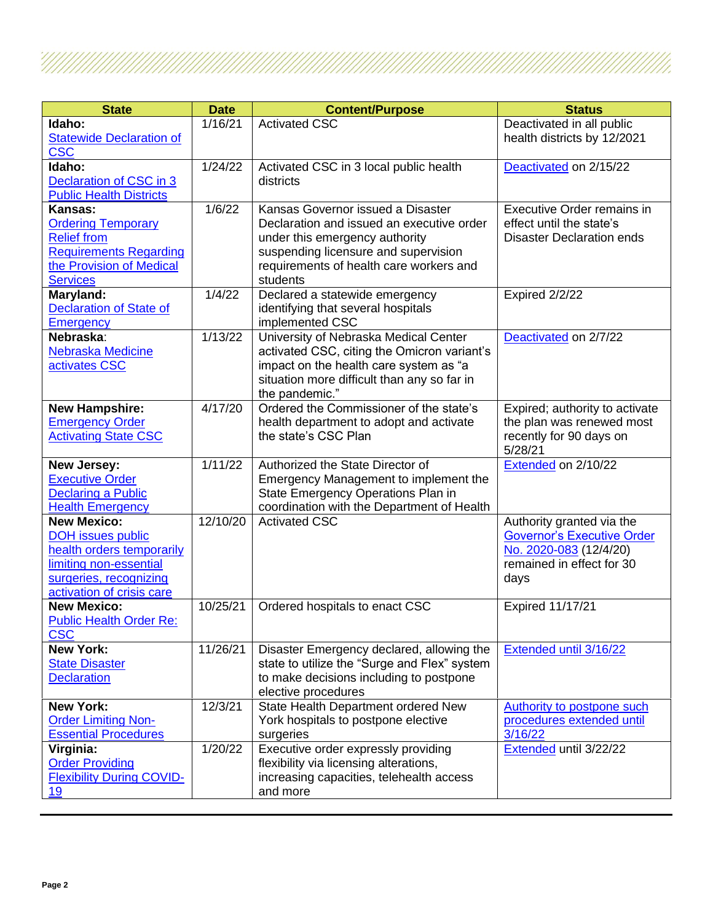| <b>State</b>                                         | <b>Date</b> | <b>Content/Purpose</b>                       | <b>Status</b>                     |
|------------------------------------------------------|-------------|----------------------------------------------|-----------------------------------|
| Idaho:                                               | 1/16/21     | <b>Activated CSC</b>                         | Deactivated in all public         |
| <b>Statewide Declaration of</b>                      |             |                                              | health districts by 12/2021       |
| <b>CSC</b>                                           |             |                                              |                                   |
| Idaho:                                               | 1/24/22     | Activated CSC in 3 local public health       | Deactivated on 2/15/22            |
| Declaration of CSC in 3                              |             | districts                                    |                                   |
| <b>Public Health Districts</b>                       |             |                                              |                                   |
| Kansas:                                              | 1/6/22      | Kansas Governor issued a Disaster            | <b>Executive Order remains in</b> |
| <b>Ordering Temporary</b>                            |             | Declaration and issued an executive order    | effect until the state's          |
| <b>Relief from</b>                                   |             | under this emergency authority               | <b>Disaster Declaration ends</b>  |
| <b>Requirements Regarding</b>                        |             | suspending licensure and supervision         |                                   |
| the Provision of Medical                             |             | requirements of health care workers and      |                                   |
| <b>Services</b>                                      |             | students                                     |                                   |
| Maryland:                                            | 1/4/22      | Declared a statewide emergency               | Expired 2/2/22                    |
| <b>Declaration of State of</b>                       |             | identifying that several hospitals           |                                   |
| <b>Emergency</b>                                     |             | implemented CSC                              |                                   |
| Nebraska:                                            | 1/13/22     | University of Nebraska Medical Center        | Deactivated on 2/7/22             |
| Nebraska Medicine                                    |             | activated CSC, citing the Omicron variant's  |                                   |
| activates CSC                                        |             | impact on the health care system as "a       |                                   |
|                                                      |             | situation more difficult than any so far in  |                                   |
|                                                      |             | the pandemic."                               |                                   |
| <b>New Hampshire:</b>                                | 4/17/20     | Ordered the Commissioner of the state's      | Expired; authority to activate    |
| <b>Emergency Order</b>                               |             | health department to adopt and activate      | the plan was renewed most         |
| <b>Activating State CSC</b>                          |             | the state's CSC Plan                         | recently for 90 days on           |
|                                                      |             |                                              | 5/28/21                           |
| New Jersey:                                          | 1/11/22     | Authorized the State Director of             | Extended on 2/10/22               |
| <b>Executive Order</b>                               |             | Emergency Management to implement the        |                                   |
| <b>Declaring a Public</b>                            |             | State Emergency Operations Plan in           |                                   |
| <b>Health Emergency</b>                              |             | coordination with the Department of Health   |                                   |
| <b>New Mexico:</b>                                   | 12/10/20    | <b>Activated CSC</b>                         | Authority granted via the         |
| <b>DOH issues public</b>                             |             |                                              | <b>Governor's Executive Order</b> |
| health orders temporarily                            |             |                                              | No. 2020-083 (12/4/20)            |
| limiting non-essential                               |             |                                              | remained in effect for 30         |
| surgeries, recognizing                               |             |                                              | days                              |
| activation of crisis care                            |             |                                              |                                   |
| <b>New Mexico:</b><br><b>Public Health Order Re:</b> | 10/25/21    | Ordered hospitals to enact CSC               | <b>Expired 11/17/21</b>           |
| <b>CSC</b>                                           |             |                                              |                                   |
| <b>New York:</b>                                     | 11/26/21    | Disaster Emergency declared, allowing the    | Extended until 3/16/22            |
| <b>State Disaster</b>                                |             | state to utilize the "Surge and Flex" system |                                   |
| <b>Declaration</b>                                   |             | to make decisions including to postpone      |                                   |
|                                                      |             | elective procedures                          |                                   |
| <b>New York:</b>                                     | 12/3/21     | State Health Department ordered New          | Authority to postpone such        |
| <b>Order Limiting Non-</b>                           |             | York hospitals to postpone elective          | procedures extended until         |
| <b>Essential Procedures</b>                          |             | surgeries                                    | 3/16/22                           |
| Virginia:                                            | 1/20/22     | Executive order expressly providing          | Extended until 3/22/22            |
| <b>Order Providing</b>                               |             | flexibility via licensing alterations,       |                                   |
| <b>Flexibility During COVID-</b>                     |             | increasing capacities, telehealth access     |                                   |
| 19                                                   |             | and more                                     |                                   |

!//////.